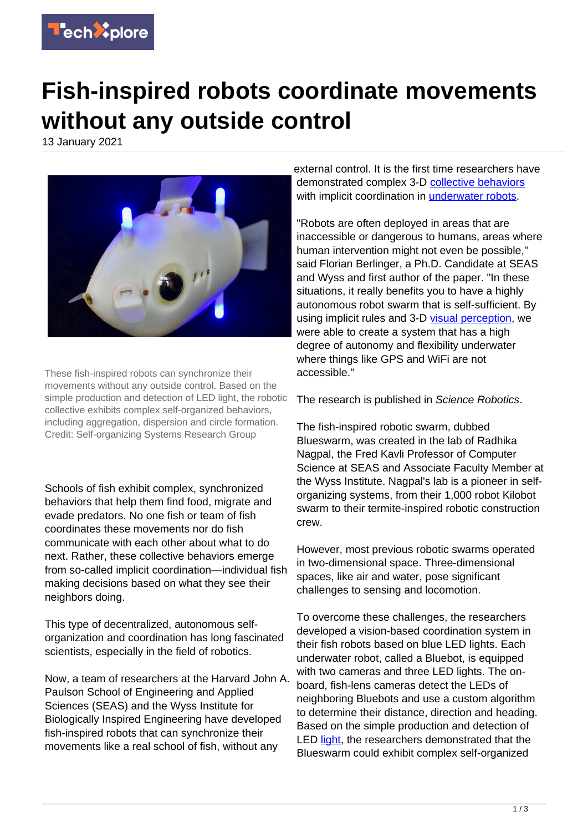

## **Fish-inspired robots coordinate movements without any outside control**

13 January 2021



These fish-inspired robots can synchronize their movements without any outside control. Based on the simple production and detection of LED light, the robotic collective exhibits complex self-organized behaviors, including aggregation, dispersion and circle formation. Credit: Self-organizing Systems Research Group

Schools of fish exhibit complex, synchronized behaviors that help them find food, migrate and evade predators. No one fish or team of fish coordinates these movements nor do fish communicate with each other about what to do next. Rather, these collective behaviors emerge from so-called implicit coordination—individual fish making decisions based on what they see their neighbors doing.

This type of decentralized, autonomous selforganization and coordination has long fascinated scientists, especially in the field of robotics.

Now, a team of researchers at the Harvard John A. Paulson School of Engineering and Applied Sciences (SEAS) and the Wyss Institute for Biologically Inspired Engineering have developed fish-inspired robots that can synchronize their movements like a real school of fish, without any

external control. It is the first time researchers have demonstrated complex 3-D [collective behaviors](https://techxplore.com/tags/collective+behaviors/) with implicit coordination in [underwater robots.](https://techxplore.com/tags/underwater+robots/)

"Robots are often deployed in areas that are inaccessible or dangerous to humans, areas where human intervention might not even be possible," said Florian Berlinger, a Ph.D. Candidate at SEAS and Wyss and first author of the paper. "In these situations, it really benefits you to have a highly autonomous robot swarm that is self-sufficient. By using implicit rules and 3-D [visual perception](https://techxplore.com/tags/visual+perception/), we were able to create a system that has a high degree of autonomy and flexibility underwater where things like GPS and WiFi are not accessible."

The research is published in Science Robotics.

The fish-inspired robotic swarm, dubbed Blueswarm, was created in the lab of Radhika Nagpal, the Fred Kavli Professor of Computer Science at SEAS and Associate Faculty Member at the Wyss Institute. Nagpal's lab is a pioneer in selforganizing systems, from their 1,000 robot Kilobot swarm to their termite-inspired robotic construction crew.

However, most previous robotic swarms operated in two-dimensional space. Three-dimensional spaces, like air and water, pose significant challenges to sensing and locomotion.

To overcome these challenges, the researchers developed a vision-based coordination system in their fish robots based on blue LED lights. Each underwater robot, called a Bluebot, is equipped with two cameras and three LED lights. The onboard, fish-lens cameras detect the LEDs of neighboring Bluebots and use a custom algorithm to determine their distance, direction and heading. Based on the simple production and detection of LED [light](https://techxplore.com/tags/light/), the researchers demonstrated that the Blueswarm could exhibit complex self-organized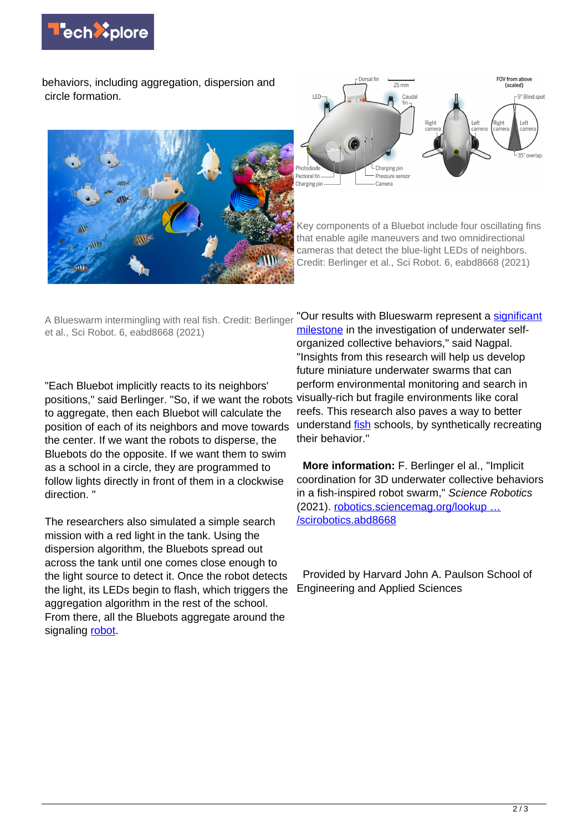

behaviors, including aggregation, dispersion and circle formation.





Key components of a Bluebot include four oscillating fins that enable agile maneuvers and two omnidirectional cameras that detect the blue-light LEDs of neighbors. Credit: Berlinger et al., Sci Robot. 6, eabd8668 (2021)

A Blueswarm intermingling with real fish. Credit: Berlinger et al., Sci Robot. 6, eabd8668 (2021)

"Each Bluebot implicitly reacts to its neighbors' positions," said Berlinger. "So, if we want the robots to aggregate, then each Bluebot will calculate the position of each of its neighbors and move towards the center. If we want the robots to disperse, the Bluebots do the opposite. If we want them to swim as a school in a circle, they are programmed to follow lights directly in front of them in a clockwise direction. "

The researchers also simulated a simple search mission with a red light in the tank. Using the dispersion algorithm, the Bluebots spread out across the tank until one comes close enough to the light source to detect it. Once the robot detects the light, its LEDs begin to flash, which triggers the aggregation algorithm in the rest of the school. From there, all the Bluebots aggregate around the signaling [robot.](https://techxplore.com/tags/robot/)

"Our results with Blueswarm represent a [significant](https://techxplore.com/tags/significant+milestone/) [milestone](https://techxplore.com/tags/significant+milestone/) in the investigation of underwater selforganized collective behaviors," said Nagpal. "Insights from this research will help us develop future miniature underwater swarms that can perform environmental monitoring and search in visually-rich but fragile environments like coral reefs. This research also paves a way to better understand *fish* schools, by synthetically recreating their behavior."

 **More information:** F. Berlinger el al., "Implicit coordination for 3D underwater collective behaviors in a fish-inspired robot swarm," Science Robotics (2021). [robotics.sciencemag.org/lookup …](http://robotics.sciencemag.org/lookup/doi/10.1126/scirobotics.abd8668) [/scirobotics.abd8668](http://robotics.sciencemag.org/lookup/doi/10.1126/scirobotics.abd8668)

 Provided by Harvard John A. Paulson School of Engineering and Applied Sciences